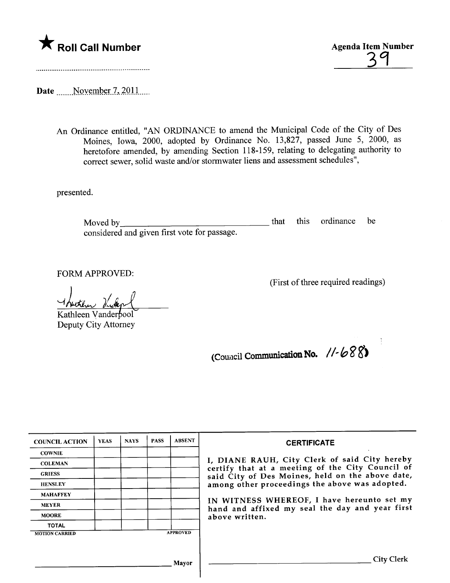



Date \_\_\_\_\_ November 7, 2011 .....

An Ordinance entitled, "AN ORDINANCE to amend the Municipal Code of the City of Des Moines, Iowa, 2000, adopted by Ordinance No. 13,827, passed June 5, 2000, as heretofore amended, by amending Section 118-159, relating to delegating authority to correct sewer, solid waste and/or stormwater liens and assessment schedules",

presented.

<u> 1980 - Jan Sterling von Berling von Berling von Berling von Berling von Berling von Berling von Berling von B</u> that this ordinance be Moved by considered and given first vote for passage.

FORM APPROVED:

(First of three required readings)

Hutter Victor Kathleen Vanderbool

Deputy City Attorney

(Council Communication No.  $1/-688$ )

| <b>COUNCIL ACTION</b> | <b>YEAS</b>                                      | <b>NAYS</b>                                                                                   | <b>PASS</b>                                    | <b>ABSENT</b>   | <b>CERTIFICATE</b>                                                                                |
|-----------------------|--------------------------------------------------|-----------------------------------------------------------------------------------------------|------------------------------------------------|-----------------|---------------------------------------------------------------------------------------------------|
| <b>COWNIE</b>         |                                                  |                                                                                               |                                                |                 |                                                                                                   |
| <b>COLEMAN</b>        |                                                  |                                                                                               |                                                |                 | I, DIANE RAUH, City Clerk of said City hereby<br>certify that at a meeting of the City Council of |
| <b>GRIESS</b>         | said City of Des Moines, held on the above date, |                                                                                               |                                                |                 |                                                                                                   |
| <b>HENSLEY</b>        |                                                  |                                                                                               | among other proceedings the above was adopted. |                 |                                                                                                   |
| <b>MAHAFFEY</b>       |                                                  | IN WITNESS WHEREOF, I have hereunto set my<br>hand and affixed my seal the day and year first |                                                |                 |                                                                                                   |
| <b>MEYER</b>          |                                                  |                                                                                               |                                                |                 |                                                                                                   |
| <b>MOORE</b>          |                                                  | above written.                                                                                |                                                |                 |                                                                                                   |
| <b>TOTAL</b>          |                                                  |                                                                                               |                                                |                 |                                                                                                   |
| <b>MOTION CARRIED</b> |                                                  |                                                                                               |                                                | <b>APPROVED</b> |                                                                                                   |
|                       |                                                  |                                                                                               |                                                |                 |                                                                                                   |
|                       |                                                  |                                                                                               |                                                | Mavor           | <b>City Clerk</b>                                                                                 |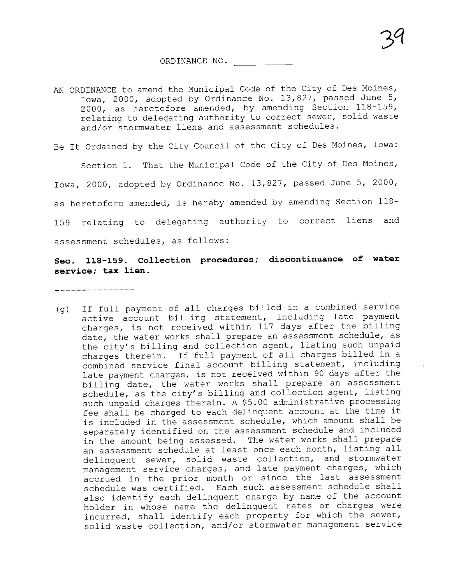$\overline{ }$ 

## ORDINANCE NO.

AN ORDINANCE to amend the Municipal Code of the City of Des Moines, Iowa, 2000, adopted by Ordinance No. 13,827, passed June 5, 2000, as heretofore amended, by amending Section 118-159, relating to delegating authority to correct sewer, solid waste and/or stormwater liens and assessment schedules.

Be It Ordained by the City Council of the City of Des Moines, Iowa:

Section 1. That the Municipal Code of the City of Des Moines, Iowa, 2000, adopted by Ordinance No. 13,827, passed June 5, 2000, as heretofore amended, is hereby amended by amending Section 118- 159 relating to delegating authority to correct liens and assessment schedules, as follows:

## Sec. 118-159. Collection procedures; discontinuance of water service; tax lien.

\_\_\_\_\_\_\_\_\_\_\_\_\_\_\_

(g) If full payment of all charges billed in a combined service active account billing statement, including late payment charges, is not received within 117 days after the billing date, the water works shall prepare an assessment schedule, as the city's billing and collection agent, listing such unpaid charges therein. If full payment of all charges billed in a combined service final account billing statement, including late payment charges, is not received within 90 days after the billing date, the water works shall prepare an assessment schedule, as the city's billing and collection agent, listing such unpaid charges therein. A \$5. 00 administrative processing fee shall be charged to each delinquent account at the time it is included in the assessment schedule, which amount shall be separately identified on the assessment schedule and included in the amount being assessed. The water works shall prepare an assessment schedule at least once each month, listing all delinquent sewer, solid waste collection, and stormwater management service charges, and late payment charges, which accrued in the prior month or since the last assessment schedule was certified. Each such assessment schedule shall also identify each delinquent charge by name of the account holder in whose name the delinquent rates or charges were incurred, shall identify each property for which the sewer, solid waste collection, and/or stormwater management service